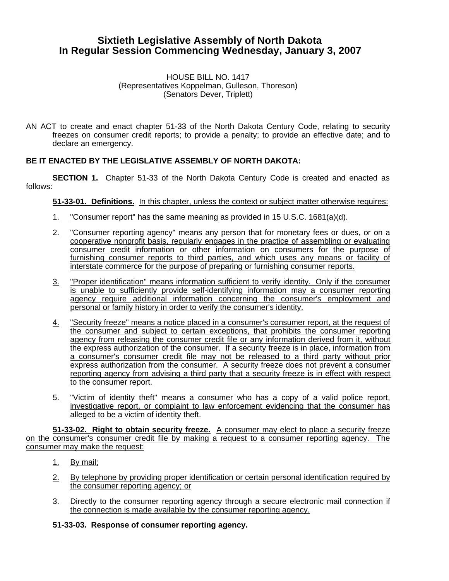# **Sixtieth Legislative Assembly of North Dakota In Regular Session Commencing Wednesday, January 3, 2007**

#### HOUSE BILL NO. 1417 (Representatives Koppelman, Gulleson, Thoreson) (Senators Dever, Triplett)

AN ACT to create and enact chapter 51-33 of the North Dakota Century Code, relating to security freezes on consumer credit reports; to provide a penalty; to provide an effective date; and to declare an emergency.

# **BE IT ENACTED BY THE LEGISLATIVE ASSEMBLY OF NORTH DAKOTA:**

**SECTION 1.** Chapter 51-33 of the North Dakota Century Code is created and enacted as follows:

### **51-33-01. Definitions.** In this chapter, unless the context or subject matter otherwise requires:

- 1. "Consumer report" has the same meaning as provided in 15 U.S.C. 1681(a)(d).
- 2. "Consumer reporting agency" means any person that for monetary fees or dues, or on a cooperative nonprofit basis, regularly engages in the practice of assembling or evaluating consumer credit information or other information on consumers for the purpose of furnishing consumer reports to third parties, and which uses any means or facility of interstate commerce for the purpose of preparing or furnishing consumer reports.
- 3. "Proper identification" means information sufficient to verify identity. Only if the consumer is unable to sufficiently provide self-identifying information may a consumer reporting agency require additional information concerning the consumer's employment and personal or family history in order to verify the consumer's identity.
- 4. "Security freeze" means a notice placed in a consumer's consumer report, at the request of the consumer and subject to certain exceptions, that prohibits the consumer reporting agency from releasing the consumer credit file or any information derived from it, without the express authorization of the consumer. If a security freeze is in place, information from a consumer's consumer credit file may not be released to a third party without prior express authorization from the consumer. A security freeze does not prevent a consumer reporting agency from advising a third party that a security freeze is in effect with respect to the consumer report.
- 5. "Victim of identity theft" means a consumer who has a copy of a valid police report, investigative report, or complaint to law enforcement evidencing that the consumer has alleged to be a victim of identity theft.

**51-33-02. Right to obtain security freeze.** A consumer may elect to place a security freeze on the consumer's consumer credit file by making a request to a consumer reporting agency. The consumer may make the request:

- 1. By mail;
- 2. By telephone by providing proper identification or certain personal identification required by the consumer reporting agency; or
- 3. Directly to the consumer reporting agency through a secure electronic mail connection if the connection is made available by the consumer reporting agency.

### **51-33-03. Response of consumer reporting agency.**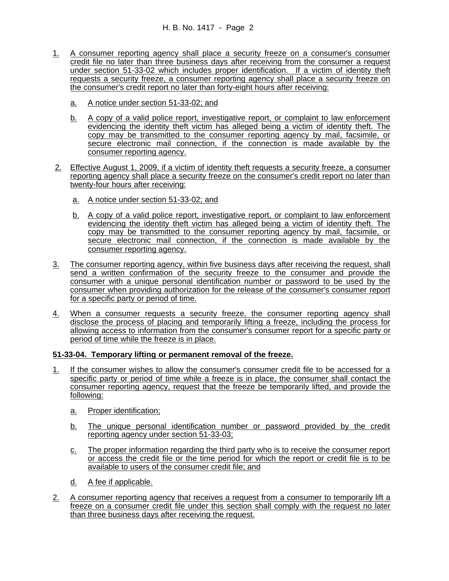- 1. A consumer reporting agency shall place a security freeze on a consumer's consumer credit file no later than three business days after receiving from the consumer a request under section 51-33-02 which includes proper identification. If a victim of identity theft requests a security freeze, a consumer reporting agency shall place a security freeze on the consumer's credit report no later than forty-eight hours after receiving:
	- a. A notice under section 51-33-02; and
	- b. A copy of a valid police report, investigative report, or complaint to law enforcement evidencing the identity theft victim has alleged being a victim of identity theft. The copy may be transmitted to the consumer reporting agency by mail, facsimile, or secure electronic mail connection, if the connection is made available by the consumer reporting agency.
- 2. Effective August 1, 2009, if a victim of identity theft requests a security freeze, a consumer reporting agency shall place a security freeze on the consumer's credit report no later than twenty-four hours after receiving:
	- a. A notice under section 51-33-02; and
	- b. A copy of a valid police report, investigative report, or complaint to law enforcement evidencing the identity theft victim has alleged being a victim of identity theft. The copy may be transmitted to the consumer reporting agency by mail, facsimile, or secure electronic mail connection, if the connection is made available by the consumer reporting agency.
- 3. The consumer reporting agency, within five business days after receiving the request, shall send a written confirmation of the security freeze to the consumer and provide the consumer with a unique personal identification number or password to be used by the consumer when providing authorization for the release of the consumer's consumer report for a specific party or period of time.
- 4. When a consumer requests a security freeze, the consumer reporting agency shall disclose the process of placing and temporarily lifting a freeze, including the process for allowing access to information from the consumer's consumer report for a specific party or period of time while the freeze is in place.

# **51-33-04. Temporary lifting or permanent removal of the freeze.**

- 1. If the consumer wishes to allow the consumer's consumer credit file to be accessed for a specific party or period of time while a freeze is in place, the consumer shall contact the consumer reporting agency, request that the freeze be temporarily lifted, and provide the following:
	- a. Proper identification;
	- b. The unique personal identification number or password provided by the credit reporting agency under section 51-33-03;
	- c. The proper information regarding the third party who is to receive the consumer report or access the credit file or the time period for which the report or credit file is to be available to users of the consumer credit file; and
	- d. A fee if applicable.
- 2. A consumer reporting agency that receives a request from a consumer to temporarily lift a freeze on a consumer credit file under this section shall comply with the request no later than three business days after receiving the request.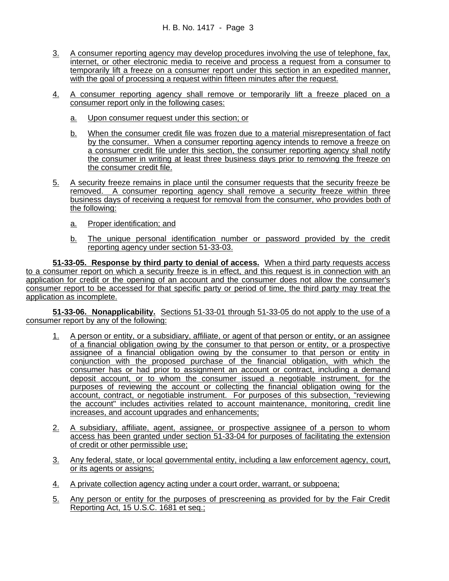- 3. A consumer reporting agency may develop procedures involving the use of telephone, fax, internet, or other electronic media to receive and process a request from a consumer to temporarily lift a freeze on a consumer report under this section in an expedited manner, with the goal of processing a request within fifteen minutes after the request.
- 4. A consumer reporting agency shall remove or temporarily lift a freeze placed on a consumer report only in the following cases:
	- a. Upon consumer request under this section; or
	- b. When the consumer credit file was frozen due to a material misrepresentation of fact by the consumer. When a consumer reporting agency intends to remove a freeze on a consumer credit file under this section, the consumer reporting agency shall notify the consumer in writing at least three business days prior to removing the freeze on the consumer credit file.
- 5. A security freeze remains in place until the consumer requests that the security freeze be removed. A consumer reporting agency shall remove a security freeze within three business days of receiving a request for removal from the consumer, who provides both of the following:
	- a. Proper identification; and
	- b. The unique personal identification number or password provided by the credit reporting agency under section 51-33-03.

**51-33-05. Response by third party to denial of access.** When a third party requests access to a consumer report on which a security freeze is in effect, and this request is in connection with an application for credit or the opening of an account and the consumer does not allow the consumer's consumer report to be accessed for that specific party or period of time, the third party may treat the application as incomplete.

**51-33-06. Nonapplicability.** Sections 51-33-01 through 51-33-05 do not apply to the use of a consumer report by any of the following:

- 1. A person or entity, or a subsidiary, affiliate, or agent of that person or entity, or an assignee of a financial obligation owing by the consumer to that person or entity, or a prospective assignee of a financial obligation owing by the consumer to that person or entity in conjunction with the proposed purchase of the financial obligation, with which the consumer has or had prior to assignment an account or contract, including a demand deposit account, or to whom the consumer issued a negotiable instrument, for the purposes of reviewing the account or collecting the financial obligation owing for the account, contract, or negotiable instrument. For purposes of this subsection, "reviewing the account" includes activities related to account maintenance, monitoring, credit line increases, and account upgrades and enhancements;
- 2. A subsidiary, affiliate, agent, assignee, or prospective assignee of a person to whom access has been granted under section 51-33-04 for purposes of facilitating the extension of credit or other permissible use;
- 3. Any federal, state, or local governmental entity, including a law enforcement agency, court, or its agents or assigns;
- 4. A private collection agency acting under a court order, warrant, or subpoena;
- 5. Any person or entity for the purposes of prescreening as provided for by the Fair Credit Reporting Act, 15 U.S.C. 1681 et seq.;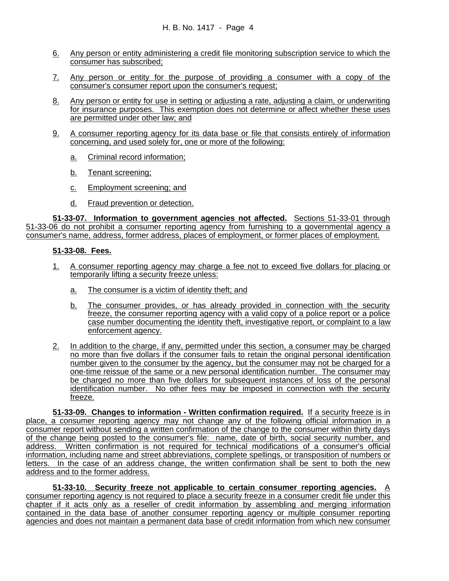- 6. Any person or entity administering a credit file monitoring subscription service to which the consumer has subscribed;
- 7. Any person or entity for the purpose of providing a consumer with a copy of the consumer's consumer report upon the consumer's request;
- 8. Any person or entity for use in setting or adjusting a rate, adjusting a claim, or underwriting for insurance purposes. This exemption does not determine or affect whether these uses are permitted under other law; and
- 9. A consumer reporting agency for its data base or file that consists entirely of information concerning, and used solely for, one or more of the following:
	- a. Criminal record information;
	- b. Tenant screening;
	- c. Employment screening; and
	- d. Fraud prevention or detection.

**51-33-07. Information to government agencies not affected.** Sections 51-33-01 through 51-33-06 do not prohibit a consumer reporting agency from furnishing to a governmental agency a consumer's name, address, former address, places of employment, or former places of employment.

#### **51-33-08. Fees.**

- 1. A consumer reporting agency may charge a fee not to exceed five dollars for placing or temporarily lifting a security freeze unless:
	- a. The consumer is a victim of identity theft; and
	- b. The consumer provides, or has already provided in connection with the security freeze, the consumer reporting agency with a valid copy of a police report or a police case number documenting the identity theft, investigative report, or complaint to a law enforcement agency.
- 2. In addition to the charge, if any, permitted under this section, a consumer may be charged no more than five dollars if the consumer fails to retain the original personal identification number given to the consumer by the agency, but the consumer may not be charged for a one-time reissue of the same or a new personal identification number. The consumer may be charged no more than five dollars for subsequent instances of loss of the personal identification number. No other fees may be imposed in connection with the security freeze.

**51-33-09. Changes to information - Written confirmation required.** If a security freeze is in place, a consumer reporting agency may not change any of the following official information in a consumer report without sending a written confirmation of the change to the consumer within thirty days of the change being posted to the consumer's file: name, date of birth, social security number, and address. Written confirmation is not required for technical modifications of a consumer's official information, including name and street abbreviations, complete spellings, or transposition of numbers or letters. In the case of an address change, the written confirmation shall be sent to both the new address and to the former address.

**51-33-10. Security freeze not applicable to certain consumer reporting agencies.** A consumer reporting agency is not required to place a security freeze in a consumer credit file under this chapter if it acts only as a reseller of credit information by assembling and merging information contained in the data base of another consumer reporting agency or multiple consumer reporting agencies and does not maintain a permanent data base of credit information from which new consumer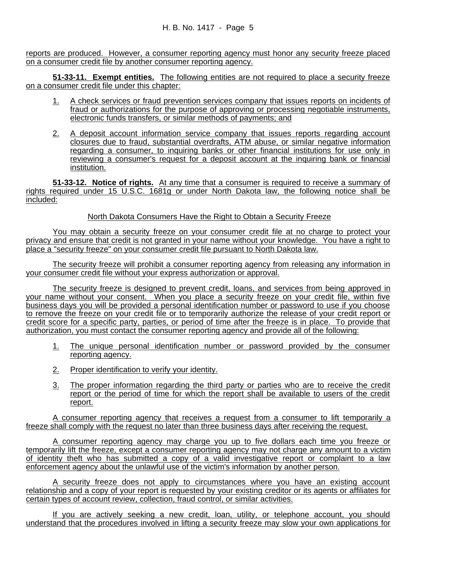reports are produced. However, a consumer reporting agency must honor any security freeze placed on a consumer credit file by another consumer reporting agency.

**51-33-11. Exempt entities.** The following entities are not required to place a security freeze on a consumer credit file under this chapter:

- 1. A check services or fraud prevention services company that issues reports on incidents of fraud or authorizations for the purpose of approving or processing negotiable instruments, electronic funds transfers, or similar methods of payments; and
- 2. A deposit account information service company that issues reports regarding account closures due to fraud, substantial overdrafts, ATM abuse, or similar negative information regarding a consumer, to inquiring banks or other financial institutions for use only in reviewing a consumer's request for a deposit account at the inquiring bank or financial institution.

**51-33-12. Notice of rights.** At any time that a consumer is required to receive a summary of rights required under 15 U.S.C. 1681g or under North Dakota law, the following notice shall be included:

## North Dakota Consumers Have the Right to Obtain a Security Freeze

You may obtain a security freeze on your consumer credit file at no charge to protect your privacy and ensure that credit is not granted in your name without your knowledge. You have a right to place a "security freeze" on your consumer credit file pursuant to North Dakota law.

The security freeze will prohibit a consumer reporting agency from releasing any information in your consumer credit file without your express authorization or approval.

The security freeze is designed to prevent credit, loans, and services from being approved in your name without your consent. When you place a security freeze on your credit file, within five business days you will be provided a personal identification number or password to use if you choose to remove the freeze on your credit file or to temporarily authorize the release of your credit report or credit score for a specific party, parties, or period of time after the freeze is in place. To provide that authorization, you must contact the consumer reporting agency and provide all of the following:

- 1. The unique personal identification number or password provided by the consumer reporting agency.
- 2. Proper identification to verify your identity.
- 3. The proper information regarding the third party or parties who are to receive the credit report or the period of time for which the report shall be available to users of the credit report.

A consumer reporting agency that receives a request from a consumer to lift temporarily a freeze shall comply with the request no later than three business days after receiving the request.

A consumer reporting agency may charge you up to five dollars each time you freeze or temporarily lift the freeze, except a consumer reporting agency may not charge any amount to a victim of identity theft who has submitted a copy of a valid investigative report or complaint to a law enforcement agency about the unlawful use of the victim's information by another person.

A security freeze does not apply to circumstances where you have an existing account relationship and a copy of your report is requested by your existing creditor or its agents or affiliates for certain types of account review, collection, fraud control, or similar activities.

If you are actively seeking a new credit, loan, utility, or telephone account, you should understand that the procedures involved in lifting a security freeze may slow your own applications for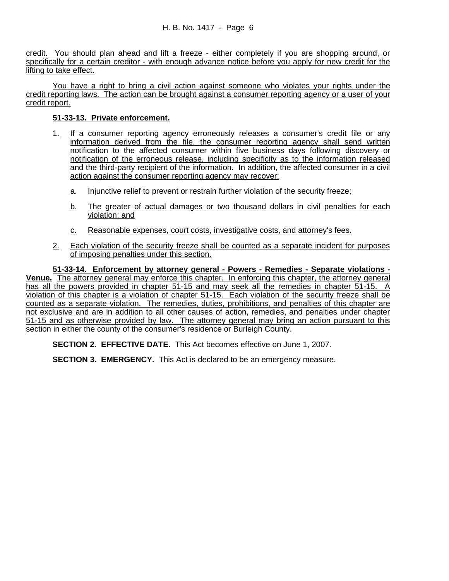credit. You should plan ahead and lift a freeze - either completely if you are shopping around, or specifically for a certain creditor - with enough advance notice before you apply for new credit for the lifting to take effect.

You have a right to bring a civil action against someone who violates your rights under the credit reporting laws. The action can be brought against a consumer reporting agency or a user of your credit report.

### **51-33-13. Private enforcement.**

- 1. If a consumer reporting agency erroneously releases a consumer's credit file or any information derived from the file, the consumer reporting agency shall send written notification to the affected consumer within five business days following discovery or notification of the erroneous release, including specificity as to the information released and the third-party recipient of the information. In addition, the affected consumer in a civil action against the consumer reporting agency may recover:
	- a. Injunctive relief to prevent or restrain further violation of the security freeze;
	- b. The greater of actual damages or two thousand dollars in civil penalties for each violation; and
	- c. Reasonable expenses, court costs, investigative costs, and attorney's fees.
- 2. Each violation of the security freeze shall be counted as a separate incident for purposes of imposing penalties under this section.

**51-33-14. Enforcement by attorney general - Powers - Remedies - Separate violations - Venue.** The attorney general may enforce this chapter. In enforcing this chapter, the attorney general has all the powers provided in chapter 51-15 and may seek all the remedies in chapter 51-15. A violation of this chapter is a violation of chapter 51-15. Each violation of the security freeze shall be counted as a separate violation. The remedies, duties, prohibitions, and penalties of this chapter are not exclusive and are in addition to all other causes of action, remedies, and penalties under chapter 51-15 and as otherwise provided by law. The attorney general may bring an action pursuant to this section in either the county of the consumer's residence or Burleigh County.

**SECTION 2. EFFECTIVE DATE.** This Act becomes effective on June 1, 2007.

**SECTION 3. EMERGENCY.** This Act is declared to be an emergency measure.